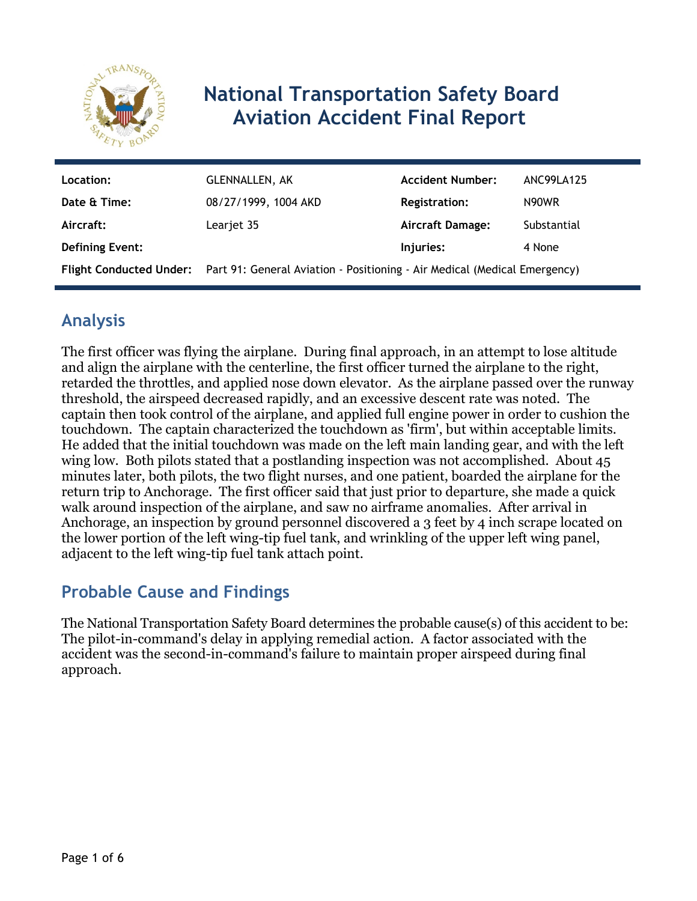

# **National Transportation Safety Board Aviation Accident Final Report**

| Location:              | <b>GLENNALLEN, AK</b>                                                                             | <b>Accident Number:</b> | ANC99LA125  |
|------------------------|---------------------------------------------------------------------------------------------------|-------------------------|-------------|
| Date & Time:           | 08/27/1999, 1004 AKD                                                                              | <b>Registration:</b>    | N90WR       |
| Aircraft:              | Learjet 35                                                                                        | <b>Aircraft Damage:</b> | Substantial |
| <b>Defining Event:</b> |                                                                                                   | Injuries:               | 4 None      |
|                        | Flight Conducted Under: Part 91: General Aviation - Positioning - Air Medical (Medical Emergency) |                         |             |

# **Analysis**

The first officer was flying the airplane. During final approach, in an attempt to lose altitude and align the airplane with the centerline, the first officer turned the airplane to the right, retarded the throttles, and applied nose down elevator. As the airplane passed over the runway threshold, the airspeed decreased rapidly, and an excessive descent rate was noted. The captain then took control of the airplane, and applied full engine power in order to cushion the touchdown. The captain characterized the touchdown as 'firm', but within acceptable limits. He added that the initial touchdown was made on the left main landing gear, and with the left wing low. Both pilots stated that a postlanding inspection was not accomplished. About 45 minutes later, both pilots, the two flight nurses, and one patient, boarded the airplane for the return trip to Anchorage. The first officer said that just prior to departure, she made a quick walk around inspection of the airplane, and saw no airframe anomalies. After arrival in Anchorage, an inspection by ground personnel discovered a 3 feet by 4 inch scrape located on the lower portion of the left wing-tip fuel tank, and wrinkling of the upper left wing panel, adjacent to the left wing-tip fuel tank attach point.

## **Probable Cause and Findings**

The National Transportation Safety Board determines the probable cause(s) of this accident to be: The pilot-in-command's delay in applying remedial action. A factor associated with the accident was the second-in-command's failure to maintain proper airspeed during final approach.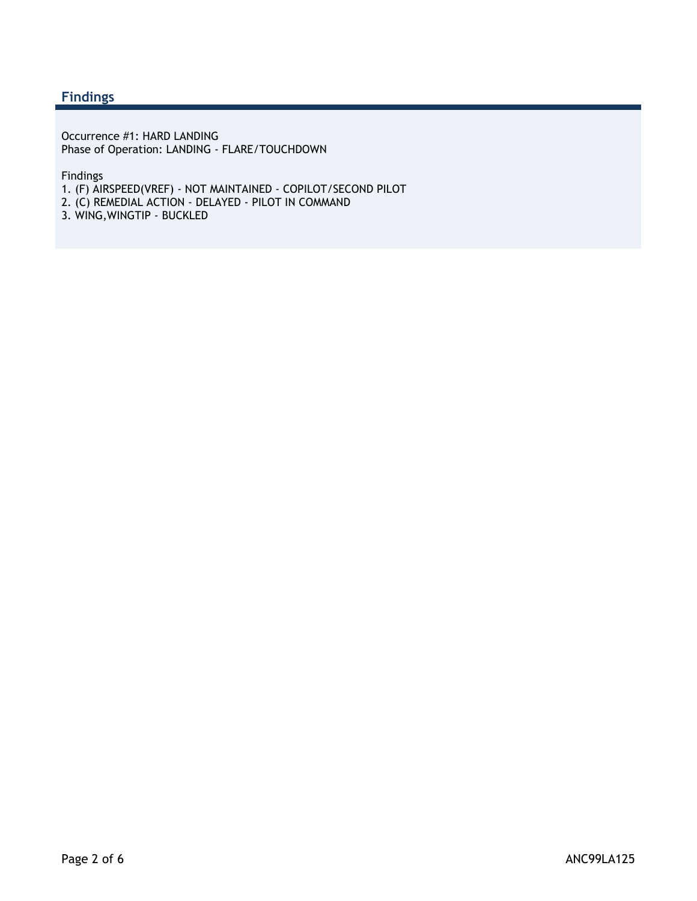#### **Findings**

Occurrence #1: HARD LANDING Phase of Operation: LANDING - FLARE/TOUCHDOWN

Findings

- 1. (F) AIRSPEED(VREF) NOT MAINTAINED COPILOT/SECOND PILOT
- 2. (C) REMEDIAL ACTION DELAYED PILOT IN COMMAND
- 3. WING,WINGTIP BUCKLED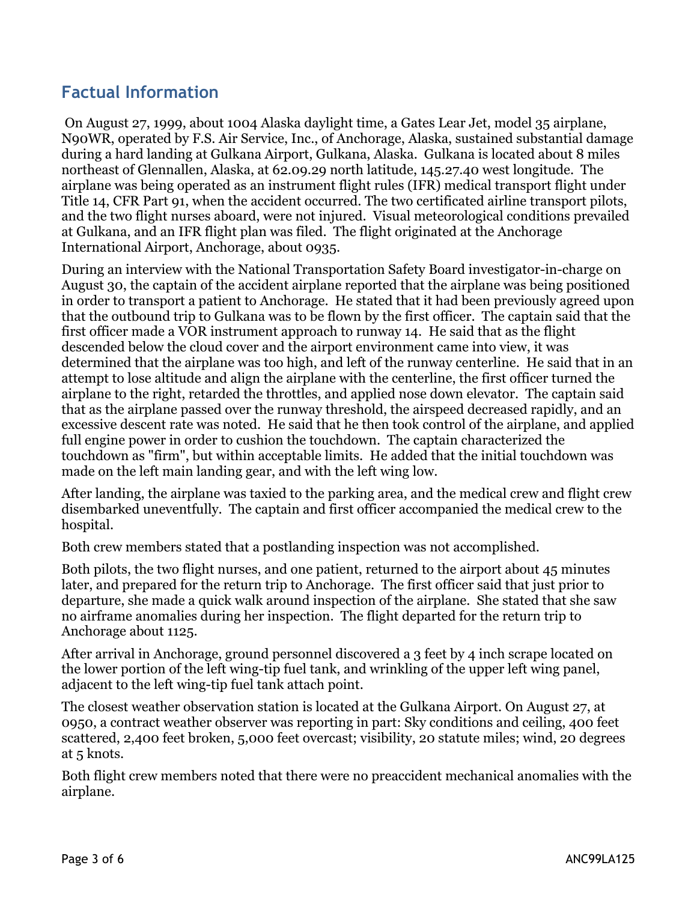## **Factual Information**

 On August 27, 1999, about 1004 Alaska daylight time, a Gates Lear Jet, model 35 airplane, N90WR, operated by F.S. Air Service, Inc., of Anchorage, Alaska, sustained substantial damage during a hard landing at Gulkana Airport, Gulkana, Alaska. Gulkana is located about 8 miles northeast of Glennallen, Alaska, at 62.09.29 north latitude, 145.27.40 west longitude. The airplane was being operated as an instrument flight rules (IFR) medical transport flight under Title 14, CFR Part 91, when the accident occurred. The two certificated airline transport pilots, and the two flight nurses aboard, were not injured. Visual meteorological conditions prevailed at Gulkana, and an IFR flight plan was filed. The flight originated at the Anchorage International Airport, Anchorage, about 0935.

During an interview with the National Transportation Safety Board investigator-in-charge on August 30, the captain of the accident airplane reported that the airplane was being positioned in order to transport a patient to Anchorage. He stated that it had been previously agreed upon that the outbound trip to Gulkana was to be flown by the first officer. The captain said that the first officer made a VOR instrument approach to runway 14. He said that as the flight descended below the cloud cover and the airport environment came into view, it was determined that the airplane was too high, and left of the runway centerline. He said that in an attempt to lose altitude and align the airplane with the centerline, the first officer turned the airplane to the right, retarded the throttles, and applied nose down elevator. The captain said that as the airplane passed over the runway threshold, the airspeed decreased rapidly, and an excessive descent rate was noted. He said that he then took control of the airplane, and applied full engine power in order to cushion the touchdown. The captain characterized the touchdown as "firm", but within acceptable limits. He added that the initial touchdown was made on the left main landing gear, and with the left wing low.

After landing, the airplane was taxied to the parking area, and the medical crew and flight crew disembarked uneventfully. The captain and first officer accompanied the medical crew to the hospital.

Both crew members stated that a postlanding inspection was not accomplished.

Both pilots, the two flight nurses, and one patient, returned to the airport about 45 minutes later, and prepared for the return trip to Anchorage. The first officer said that just prior to departure, she made a quick walk around inspection of the airplane. She stated that she saw no airframe anomalies during her inspection. The flight departed for the return trip to Anchorage about 1125.

After arrival in Anchorage, ground personnel discovered a 3 feet by 4 inch scrape located on the lower portion of the left wing-tip fuel tank, and wrinkling of the upper left wing panel, adjacent to the left wing-tip fuel tank attach point.

The closest weather observation station is located at the Gulkana Airport. On August 27, at 0950, a contract weather observer was reporting in part: Sky conditions and ceiling, 400 feet scattered, 2,400 feet broken, 5,000 feet overcast; visibility, 20 statute miles; wind, 20 degrees at 5 knots.

Both flight crew members noted that there were no preaccident mechanical anomalies with the airplane.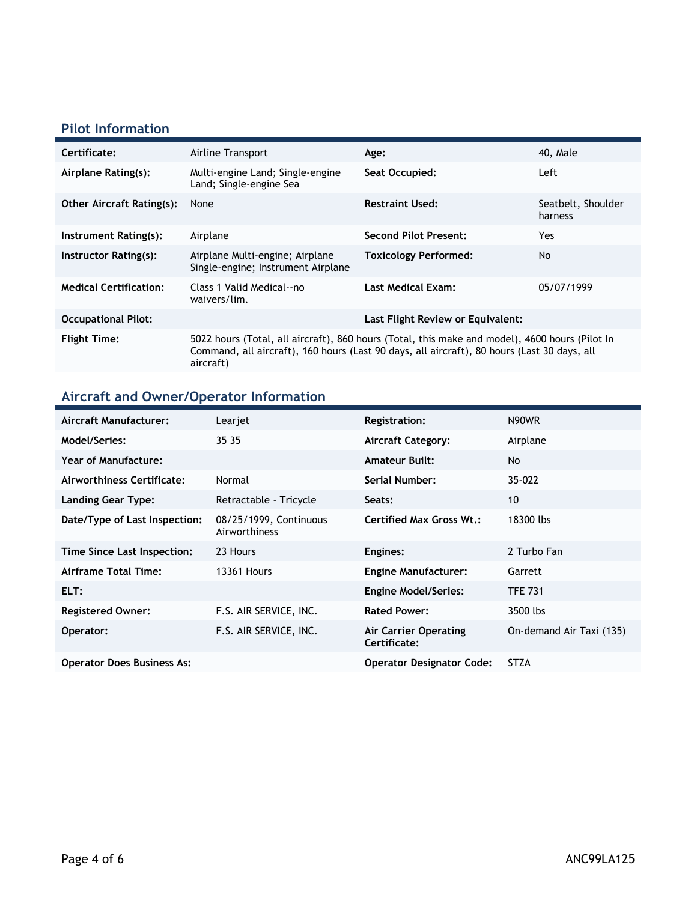### **Pilot Information**

| Certificate:                     | Airline Transport                                                                                                                                                                                          | Age:                              | 40, Male                      |
|----------------------------------|------------------------------------------------------------------------------------------------------------------------------------------------------------------------------------------------------------|-----------------------------------|-------------------------------|
| Airplane Rating(s):              | Multi-engine Land; Single-engine<br>Land; Single-engine Sea                                                                                                                                                | Seat Occupied:                    | Left                          |
| <b>Other Aircraft Rating(s):</b> | None                                                                                                                                                                                                       | <b>Restraint Used:</b>            | Seatbelt, Shoulder<br>harness |
| Instrument Rating(s):            | Airplane                                                                                                                                                                                                   | <b>Second Pilot Present:</b>      | Yes                           |
| Instructor Rating(s):            | Airplane Multi-engine; Airplane<br>Single-engine; Instrument Airplane                                                                                                                                      | <b>Toxicology Performed:</b>      | No.                           |
| <b>Medical Certification:</b>    | Class 1 Valid Medical--no<br>waivers/lim.                                                                                                                                                                  | <b>Last Medical Exam:</b>         | 05/07/1999                    |
| <b>Occupational Pilot:</b>       |                                                                                                                                                                                                            | Last Flight Review or Equivalent: |                               |
| <b>Flight Time:</b>              | 5022 hours (Total, all aircraft), 860 hours (Total, this make and model), 4600 hours (Pilot In<br>Command, all aircraft), 160 hours (Last 90 days, all aircraft), 80 hours (Last 30 days, all<br>aircraft) |                                   |                               |

# **Aircraft and Owner/Operator Information**

| Aircraft Manufacturer:            | Learjet                                 | <b>Registration:</b>                  | N90WR                    |
|-----------------------------------|-----------------------------------------|---------------------------------------|--------------------------|
| Model/Series:                     | 35 35                                   | <b>Aircraft Category:</b>             | Airplane                 |
| <b>Year of Manufacture:</b>       |                                         | <b>Amateur Built:</b>                 | No                       |
| Airworthiness Certificate:        | Normal                                  | Serial Number:                        | 35-022                   |
| <b>Landing Gear Type:</b>         | Retractable - Tricycle                  | Seats:                                | 10                       |
| Date/Type of Last Inspection:     | 08/25/1999, Continuous<br>Airworthiness | <b>Certified Max Gross Wt.:</b>       | 18300 lbs                |
| Time Since Last Inspection:       | 23 Hours                                | Engines:                              | 2 Turbo Fan              |
| Airframe Total Time:              | <b>13361 Hours</b>                      | <b>Engine Manufacturer:</b>           | Garrett                  |
| ELT:                              |                                         | <b>Engine Model/Series:</b>           | <b>TFE 731</b>           |
| <b>Registered Owner:</b>          | F.S. AIR SERVICE, INC.                  | <b>Rated Power:</b>                   | 3500 lbs                 |
| Operator:                         | F.S. AIR SERVICE, INC.                  | Air Carrier Operating<br>Certificate: | On-demand Air Taxi (135) |
| <b>Operator Does Business As:</b> |                                         | <b>Operator Designator Code:</b>      | <b>STZA</b>              |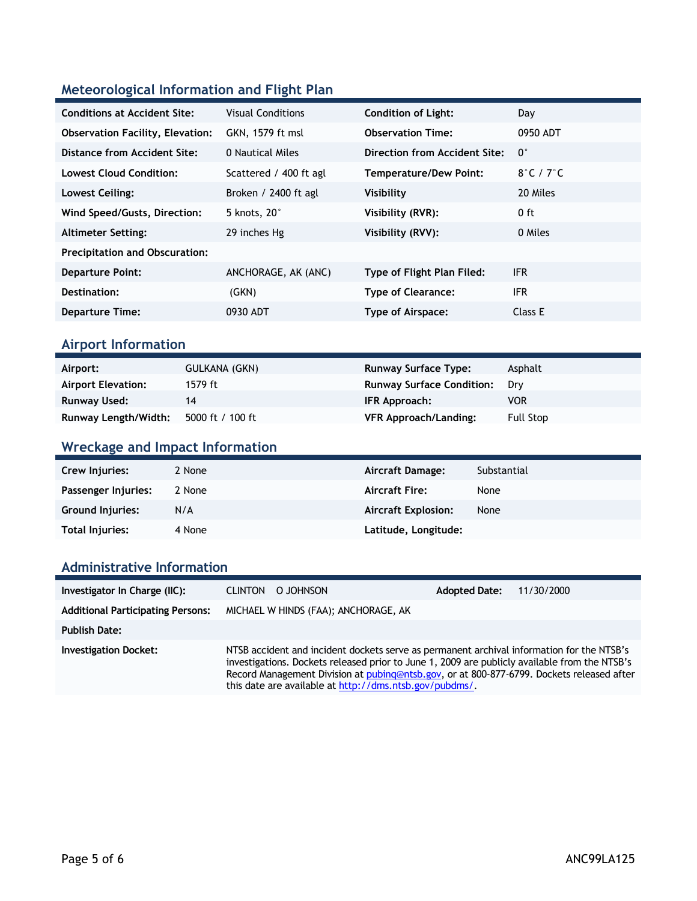### **Meteorological Information and Flight Plan**

| <b>Conditions at Accident Site:</b>     | <b>Visual Conditions</b> | <b>Condition of Light:</b>    | Day                        |
|-----------------------------------------|--------------------------|-------------------------------|----------------------------|
| <b>Observation Facility, Elevation:</b> | GKN, 1579 ft msl         | <b>Observation Time:</b>      | 0950 ADT                   |
| Distance from Accident Site:            | 0 Nautical Miles         | Direction from Accident Site: | $0^{\circ}$                |
| <b>Lowest Cloud Condition:</b>          | Scattered / 400 ft agl   | <b>Temperature/Dew Point:</b> | $8^\circ$ C / 7 $^\circ$ C |
| Lowest Ceiling:                         | Broken / 2400 ft agl     | Visibility                    | 20 Miles                   |
| Wind Speed/Gusts, Direction:            | 5 knots, 20°             | Visibility (RVR):             | $0$ ft                     |
| <b>Altimeter Setting:</b>               | 29 inches Hg             | Visibility (RVV):             | 0 Miles                    |
| <b>Precipitation and Obscuration:</b>   |                          |                               |                            |
| <b>Departure Point:</b>                 | ANCHORAGE, AK (ANC)      | Type of Flight Plan Filed:    | IFR.                       |
| Destination:                            | (GKN)                    | <b>Type of Clearance:</b>     | <b>IFR</b>                 |
| <b>Departure Time:</b>                  | 0930 ADT                 | Type of Airspace:             | Class E                    |

#### **Airport Information**

| Airport:                    | GULKANA (GKN)    | <b>Runway Surface Type:</b>      | Asphalt          |
|-----------------------------|------------------|----------------------------------|------------------|
| <b>Airport Elevation:</b>   | 1579 ft          | <b>Runway Surface Condition:</b> | Drv              |
| Runway Used:                |                  | IFR Approach:                    | <b>VOR</b>       |
| <b>Runway Length/Width:</b> | 5000 ft / 100 ft | <b>VFR Approach/Landing:</b>     | <b>Full Stop</b> |

### **Wreckage and Impact Information**

| Crew Injuries:          | 2 None | Aircraft Damage:           | Substantial |
|-------------------------|--------|----------------------------|-------------|
| Passenger Injuries:     | 2 None | <b>Aircraft Fire:</b>      | None        |
| <b>Ground Injuries:</b> | N/A    | <b>Aircraft Explosion:</b> | None        |
| Total Injuries:         | 4 None | Latitude, Longitude:       |             |

#### **Administrative Information**

| Investigator In Charge (IIC):            | O JOHNSON<br><b>CLINTON</b>                                                                                                                                                                                                                                                                                                                        |                                      | <b>Adopted Date:</b> | 11/30/2000 |
|------------------------------------------|----------------------------------------------------------------------------------------------------------------------------------------------------------------------------------------------------------------------------------------------------------------------------------------------------------------------------------------------------|--------------------------------------|----------------------|------------|
| <b>Additional Participating Persons:</b> |                                                                                                                                                                                                                                                                                                                                                    | MICHAEL W HINDS (FAA); ANCHORAGE, AK |                      |            |
| <b>Publish Date:</b>                     |                                                                                                                                                                                                                                                                                                                                                    |                                      |                      |            |
| <b>Investigation Docket:</b>             | NTSB accident and incident dockets serve as permanent archival information for the NTSB's<br>investigations. Dockets released prior to June 1, 2009 are publicly available from the NTSB's<br>Record Management Division at pubing@ntsb.gov, or at 800-877-6799. Dockets released after<br>this date are available at http://dms.ntsb.gov/pubdms/. |                                      |                      |            |